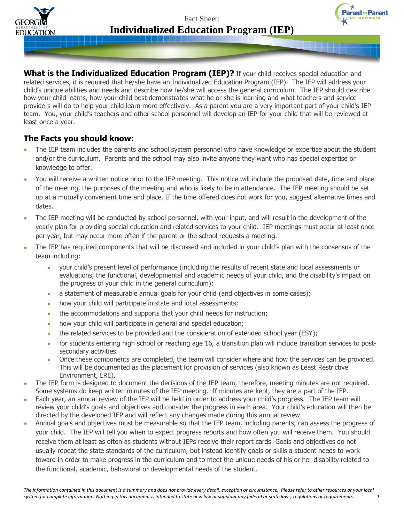



What is the Individualized Education Program (IEP)? If your child receives special education and related services, it is required that he/she have an Individualized Education Program (IEP). The IEP will address your child's unique abilities and needs and describe how he/she will access the general curriculum. The IEP should describe how your child learns, how your child best demonstrates what he or she is learning and what teachers and service providers will do to help your child learn more effectively. As a parent you are a very important part of your child's IEP team. You, your child's teachers and other school personnel will develop an IEP for your child that will be reviewed at least once a year.

## **The Facts you should know:**

- The IEP team includes the parents and school system personnel who have knowledge or expertise about the student  $\bullet$ and/or the curriculum. Parents and the school may also invite anyone they want who has special expertise or knowledge to offer.
- You will receive a written notice prior to the IEP meeting. This notice will include the proposed date, time and place of the meeting, the purposes of the meeting and who is likely to be in attendance. The IEP meeting should be set up at a mutually convenient time and place. If the time offered does not work for you, suggest alternative times and dates.
- The IEP meeting will be conducted by school personnel, with your input, and will result in the development of the yearly plan for providing special education and related services to your child. IEP meetings must occur at least once per year, but may occur more often if the parent or the school requests a meeting.
- The IEP has required components that will be discussed and included in your child's plan with the consensus of the team including:
	- your child's present level of performance (including the results of recent state and local assessments or evaluations, the functional, developmental and academic needs of your child, and the disability's impact on the progress of your child in the general curriculum);
	- a statement of measurable annual goals for your child (and objectives in some cases);  $\bullet$
	- how your child will participate in state and local assessments;  $\bullet$
	- the accommodations and supports that your child needs for instruction;
	- how your child will participate in general and special education;  $\bullet$
	- the related services to be provided and the consideration of extended school year (ESY);  $\bullet$
	- for students entering high school or reaching age 16, a transition plan will include transition services to postsecondary activities.
	- Once these components are completed, the team will consider where and how the services can be provided. This will be documented as the placement for provision of services (also known as Least Restrictive Environment, LRE).
- The IEP form is designed to document the decisions of the IEP team, therefore, meeting minutes are not required. Some systems do keep written minutes of the IEP meeting. If minutes are kept, they are a part of the IEP.
- Each year, an annual review of the IEP will be held in order to address your child's progress. The IEP team will review your child's goals and objectives and consider the progress in each area. Your child's education will then be directed by the developed IEP and will reflect any changes made during this annual review.
- Annual goals and objectives must be measurable so that the IEP team, including parents, can assess the progress of your child. The IEP will tell you when to expect progress reports and how often you will receive them. You should receive them at least as often as students without IEPs receive their report cards. Goals and objectives do not usually repeat the state standards of the curriculum, but instead identify goals or skills a student needs to work toward in order to make progress in the curriculum and to meet the unique needs of his or her disability related to the functional, academic, behavioral or developmental needs of the student.